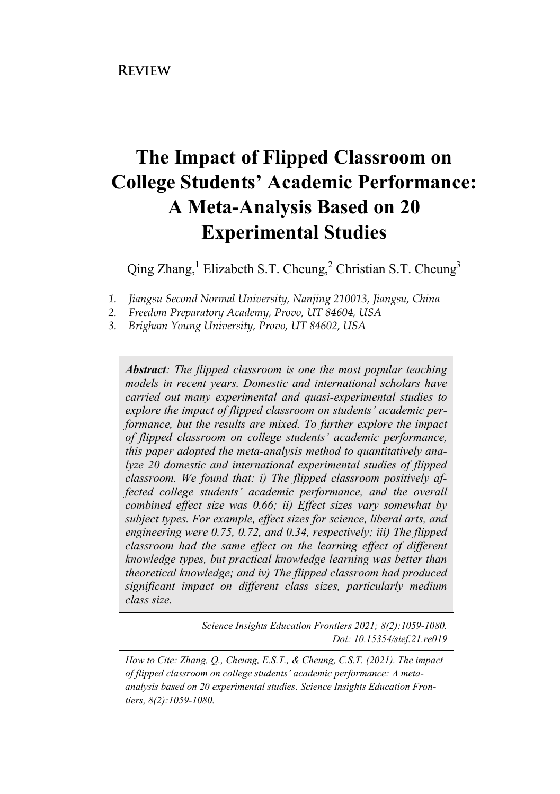# **The Impact of Flipped Classroom on College Students' Academic Performance: A Meta-Analysis Based on 20 Experimental Studies**

Qing Zhang,<sup>1</sup> Elizabeth S.T. Cheung,<sup>2</sup> Christian S.T. Cheung<sup>3</sup>

*1. Jiangsu Second Normal University, Nanjing 210013, Jiangsu, China* 

- *2. Freedom Preparatory Academy, Provo, UT 84604, USA*
- *3. Brigham Young University, Provo, UT 84602, USA*

*Abstract: The flipped classroom is one the most popular teaching models in recent years. Domestic and international scholars have carried out many experimental and quasi-experimental studies to explore the impact of flipped classroom on students' academic performance, but the results are mixed. To further explore the impact of flipped classroom on college students' academic performance, this paper adopted the meta-analysis method to quantitatively analyze 20 domestic and international experimental studies of flipped classroom. We found that: i) The flipped classroom positively affected college students' academic performance, and the overall combined effect size was 0.66; ii) Effect sizes vary somewhat by subject types. For example, effect sizes for science, liberal arts, and engineering were 0.75, 0.72, and 0.34, respectively; iii) The flipped classroom had the same effect on the learning effect of different knowledge types, but practical knowledge learning was better than theoretical knowledge; and iv) The flipped classroom had produced significant impact on different class sizes, particularly medium class size.*

> *Science Insights Education Frontiers 2021; 8(2):1059-1080. Doi: 10.15354/sief.21.re019*

*How to Cite: Zhang, Q., Cheung, E.S.T., & Cheung, C.S.T. (2021). The impact of flipped classroom on college students' academic performance: A metaanalysis based on 20 experimental studies. Science Insights Education Frontiers, 8(2):1059-1080.*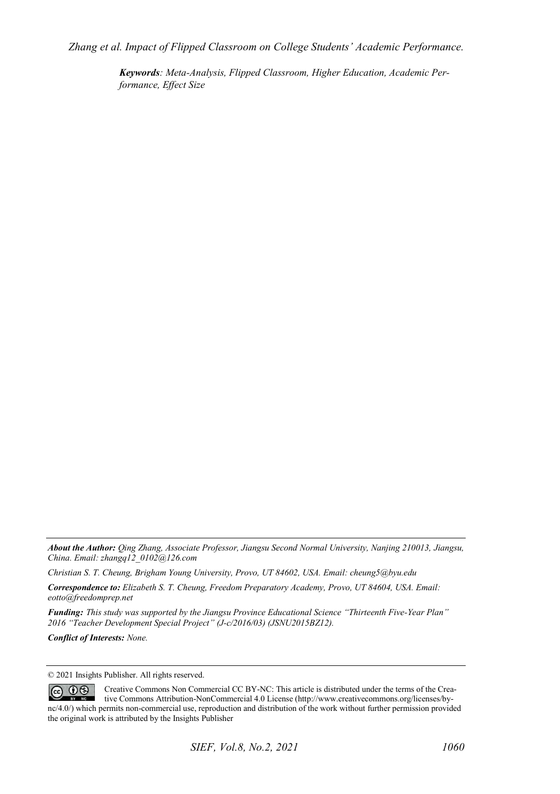*Zhang et al. Impact of Flipped Classroom on College Students' Academic Performance.* 

*Keywords: Meta-Analysis, Flipped Classroom, Higher Education, Academic Performance, Effect Size* 

*About the Author: Qing Zhang, Associate Professor, Jiangsu Second Normal University, Nanjing 210013, Jiangsu, China. Email: zhangq12\_0102@126.com* 

*Christian S. T. Cheung, Brigham Young University, Provo, UT 84602, USA. Email: cheung5@byu.edu*

*Correspondence to: Elizabeth S. T. Cheung, Freedom Preparatory Academy, Provo, UT 84604, USA. Email: eotto@freedomprep.net* 

*Funding: This study was supported by the Jiangsu Province Educational Science "Thirteenth Five-Year Plan" 2016 "Teacher Development Special Project" (J-c/2016/03) (JSNU2015BZ12).* 

*Conflict of Interests: None.* 

© 2021 Insights Publisher. All rights reserved.

 $\odot$   $\odot$ Creative Commons Non Commercial CC BY-NC: This article is distributed under the terms of the Creative Commons Attribution-NonCommercial 4.0 License (http://www.creativecommons.org/licenses/bync/4.0/) which permits non-commercial use, reproduction and distribution of the work without further permission provided the original work is attributed by the Insights Publisher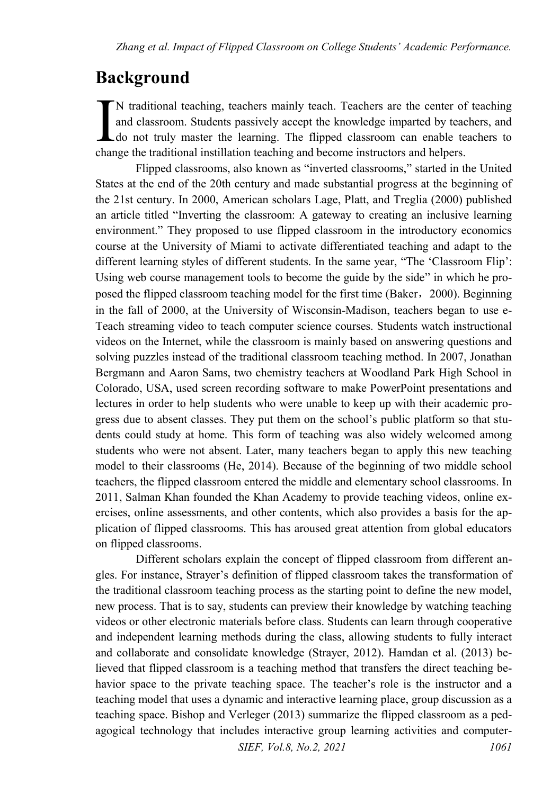## **Background**

N traditional teaching, teachers mainly teach. Teachers are the center of teaching and classroom. Students passively accept the knowledge imparted by teachers, and do not truly master the learning. The flipped classroom can enable teachers to N traditional teaching, teachers mainly teach. Teachers are the center of and classroom. Students passively accept the knowledge imparted by teaching and become instructors and helpers. Change the traditional instillation

Flipped classrooms, also known as "inverted classrooms," started in the United States at the end of the 20th century and made substantial progress at the beginning of the 21st century. In 2000, American scholars Lage, Platt, and Treglia (2000) published an article titled "Inverting the classroom: A gateway to creating an inclusive learning environment." They proposed to use flipped classroom in the introductory economics course at the University of Miami to activate differentiated teaching and adapt to the different learning styles of different students. In the same year, "The 'Classroom Flip': Using web course management tools to become the guide by the side" in which he proposed the flipped classroom teaching model for the first time (Baker,2000). Beginning in the fall of 2000, at the University of Wisconsin-Madison, teachers began to use e-Teach streaming video to teach computer science courses. Students watch instructional videos on the Internet, while the classroom is mainly based on answering questions and solving puzzles instead of the traditional classroom teaching method. In 2007, Jonathan Bergmann and Aaron Sams, two chemistry teachers at Woodland Park High School in Colorado, USA, used screen recording software to make PowerPoint presentations and lectures in order to help students who were unable to keep up with their academic progress due to absent classes. They put them on the school's public platform so that students could study at home. This form of teaching was also widely welcomed among students who were not absent. Later, many teachers began to apply this new teaching model to their classrooms (He, 2014). Because of the beginning of two middle school teachers, the flipped classroom entered the middle and elementary school classrooms. In 2011, Salman Khan founded the Khan Academy to provide teaching videos, online exercises, online assessments, and other contents, which also provides a basis for the application of flipped classrooms. This has aroused great attention from global educators on flipped classrooms.

*SIEF, Vol.8, No.2, 2021* 1061 Different scholars explain the concept of flipped classroom from different angles. For instance, Strayer's definition of flipped classroom takes the transformation of the traditional classroom teaching process as the starting point to define the new model, new process. That is to say, students can preview their knowledge by watching teaching videos or other electronic materials before class. Students can learn through cooperative and independent learning methods during the class, allowing students to fully interact and collaborate and consolidate knowledge (Strayer, 2012). Hamdan et al. (2013) believed that flipped classroom is a teaching method that transfers the direct teaching behavior space to the private teaching space. The teacher's role is the instructor and a teaching model that uses a dynamic and interactive learning place, group discussion as a teaching space. Bishop and Verleger (2013) summarize the flipped classroom as a pedagogical technology that includes interactive group learning activities and computer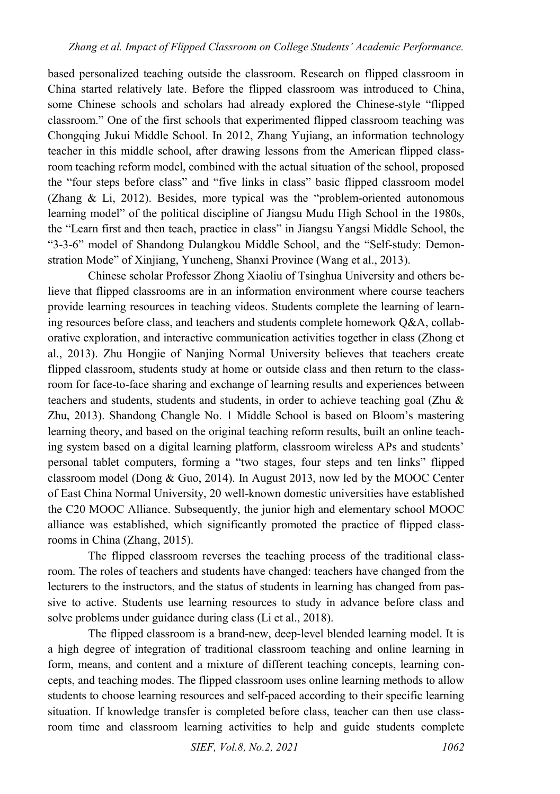based personalized teaching outside the classroom. Research on flipped classroom in China started relatively late. Before the flipped classroom was introduced to China, some Chinese schools and scholars had already explored the Chinese-style "flipped classroom." One of the first schools that experimented flipped classroom teaching was Chongqing Jukui Middle School. In 2012, Zhang Yujiang, an information technology teacher in this middle school, after drawing lessons from the American flipped classroom teaching reform model, combined with the actual situation of the school, proposed the "four steps before class" and "five links in class" basic flipped classroom model (Zhang & Li, 2012). Besides, more typical was the "problem-oriented autonomous learning model" of the political discipline of Jiangsu Mudu High School in the 1980s, the "Learn first and then teach, practice in class" in Jiangsu Yangsi Middle School, the "3-3-6" model of Shandong Dulangkou Middle School, and the "Self-study: Demonstration Mode" of Xinjiang, Yuncheng, Shanxi Province (Wang et al., 2013).

Chinese scholar Professor Zhong Xiaoliu of Tsinghua University and others believe that flipped classrooms are in an information environment where course teachers provide learning resources in teaching videos. Students complete the learning of learning resources before class, and teachers and students complete homework Q&A, collaborative exploration, and interactive communication activities together in class (Zhong et al., 2013). Zhu Hongjie of Nanjing Normal University believes that teachers create flipped classroom, students study at home or outside class and then return to the classroom for face-to-face sharing and exchange of learning results and experiences between teachers and students, students and students, in order to achieve teaching goal (Zhu & Zhu, 2013). Shandong Changle No. 1 Middle School is based on Bloom's mastering learning theory, and based on the original teaching reform results, built an online teaching system based on a digital learning platform, classroom wireless APs and students' personal tablet computers, forming a "two stages, four steps and ten links" flipped classroom model (Dong & Guo, 2014). In August 2013, now led by the MOOC Center of East China Normal University, 20 well-known domestic universities have established the C20 MOOC Alliance. Subsequently, the junior high and elementary school MOOC alliance was established, which significantly promoted the practice of flipped classrooms in China (Zhang, 2015).

The flipped classroom reverses the teaching process of the traditional classroom. The roles of teachers and students have changed: teachers have changed from the lecturers to the instructors, and the status of students in learning has changed from passive to active. Students use learning resources to study in advance before class and solve problems under guidance during class (Li et al., 2018).

The flipped classroom is a brand-new, deep-level blended learning model. It is a high degree of integration of traditional classroom teaching and online learning in form, means, and content and a mixture of different teaching concepts, learning concepts, and teaching modes. The flipped classroom uses online learning methods to allow students to choose learning resources and self-paced according to their specific learning situation. If knowledge transfer is completed before class, teacher can then use classroom time and classroom learning activities to help and guide students complete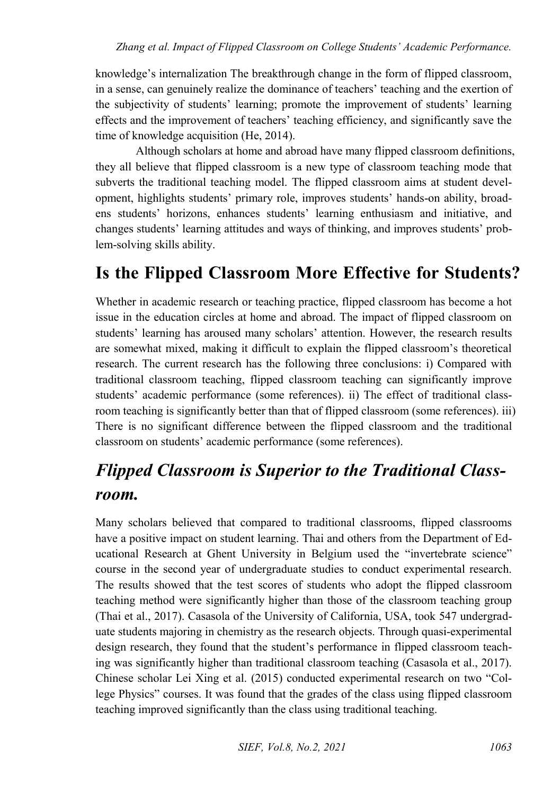knowledge's internalization The breakthrough change in the form of flipped classroom, in a sense, can genuinely realize the dominance of teachers' teaching and the exertion of the subjectivity of students' learning; promote the improvement of students' learning effects and the improvement of teachers' teaching efficiency, and significantly save the time of knowledge acquisition (He, 2014).

Although scholars at home and abroad have many flipped classroom definitions, they all believe that flipped classroom is a new type of classroom teaching mode that subverts the traditional teaching model. The flipped classroom aims at student development, highlights students' primary role, improves students' hands-on ability, broadens students' horizons, enhances students' learning enthusiasm and initiative, and changes students' learning attitudes and ways of thinking, and improves students' problem-solving skills ability.

## **Is the Flipped Classroom More Effective for Students?**

Whether in academic research or teaching practice, flipped classroom has become a hot issue in the education circles at home and abroad. The impact of flipped classroom on students' learning has aroused many scholars' attention. However, the research results are somewhat mixed, making it difficult to explain the flipped classroom's theoretical research. The current research has the following three conclusions: i) Compared with traditional classroom teaching, flipped classroom teaching can significantly improve students' academic performance (some references). ii) The effect of traditional classroom teaching is significantly better than that of flipped classroom (some references). iii) There is no significant difference between the flipped classroom and the traditional classroom on students' academic performance (some references).

## *Flipped Classroom is Superior to the Traditional Classroom.*

Many scholars believed that compared to traditional classrooms, flipped classrooms have a positive impact on student learning. Thai and others from the Department of Educational Research at Ghent University in Belgium used the "invertebrate science" course in the second year of undergraduate studies to conduct experimental research. The results showed that the test scores of students who adopt the flipped classroom teaching method were significantly higher than those of the classroom teaching group (Thai et al., 2017). Casasola of the University of California, USA, took 547 undergraduate students majoring in chemistry as the research objects. Through quasi-experimental design research, they found that the student's performance in flipped classroom teaching was significantly higher than traditional classroom teaching (Casasola et al., 2017). Chinese scholar Lei Xing et al. (2015) conducted experimental research on two "College Physics" courses. It was found that the grades of the class using flipped classroom teaching improved significantly than the class using traditional teaching.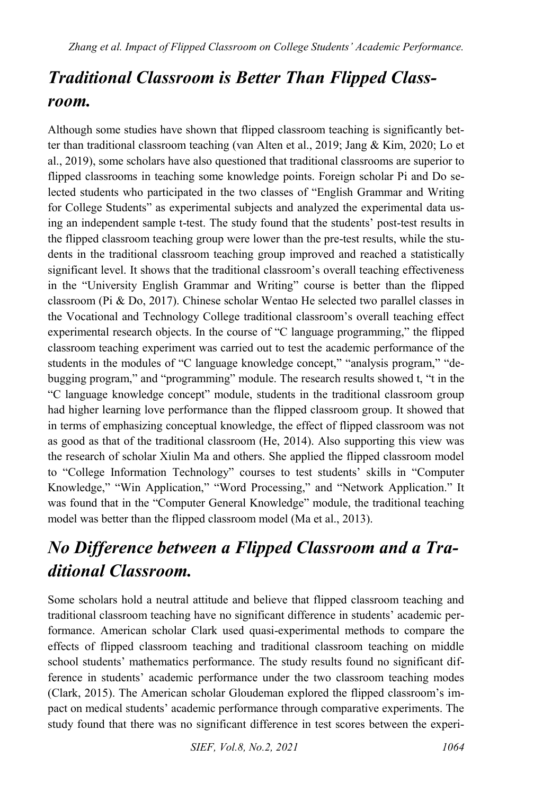# *Traditional Classroom is Better Than Flipped Classroom.*

Although some studies have shown that flipped classroom teaching is significantly better than traditional classroom teaching (van Alten et al., 2019; Jang & Kim, 2020; Lo et al., 2019), some scholars have also questioned that traditional classrooms are superior to flipped classrooms in teaching some knowledge points. Foreign scholar Pi and Do selected students who participated in the two classes of "English Grammar and Writing for College Students" as experimental subjects and analyzed the experimental data using an independent sample t-test. The study found that the students' post-test results in the flipped classroom teaching group were lower than the pre-test results, while the students in the traditional classroom teaching group improved and reached a statistically significant level. It shows that the traditional classroom's overall teaching effectiveness in the "University English Grammar and Writing" course is better than the flipped classroom (Pi & Do, 2017). Chinese scholar Wentao He selected two parallel classes in the Vocational and Technology College traditional classroom's overall teaching effect experimental research objects. In the course of "C language programming," the flipped classroom teaching experiment was carried out to test the academic performance of the students in the modules of "C language knowledge concept," "analysis program," "debugging program," and "programming" module. The research results showed t, "t in the "C language knowledge concept" module, students in the traditional classroom group had higher learning love performance than the flipped classroom group. It showed that in terms of emphasizing conceptual knowledge, the effect of flipped classroom was not as good as that of the traditional classroom (He, 2014). Also supporting this view was the research of scholar Xiulin Ma and others. She applied the flipped classroom model to "College Information Technology" courses to test students' skills in "Computer Knowledge," "Win Application," "Word Processing," and "Network Application." It was found that in the "Computer General Knowledge" module, the traditional teaching model was better than the flipped classroom model (Ma et al., 2013).

# *No Difference between a Flipped Classroom and a Traditional Classroom.*

Some scholars hold a neutral attitude and believe that flipped classroom teaching and traditional classroom teaching have no significant difference in students' academic performance. American scholar Clark used quasi-experimental methods to compare the effects of flipped classroom teaching and traditional classroom teaching on middle school students' mathematics performance. The study results found no significant difference in students' academic performance under the two classroom teaching modes (Clark, 2015). The American scholar Gloudeman explored the flipped classroom's impact on medical students' academic performance through comparative experiments. The study found that there was no significant difference in test scores between the experi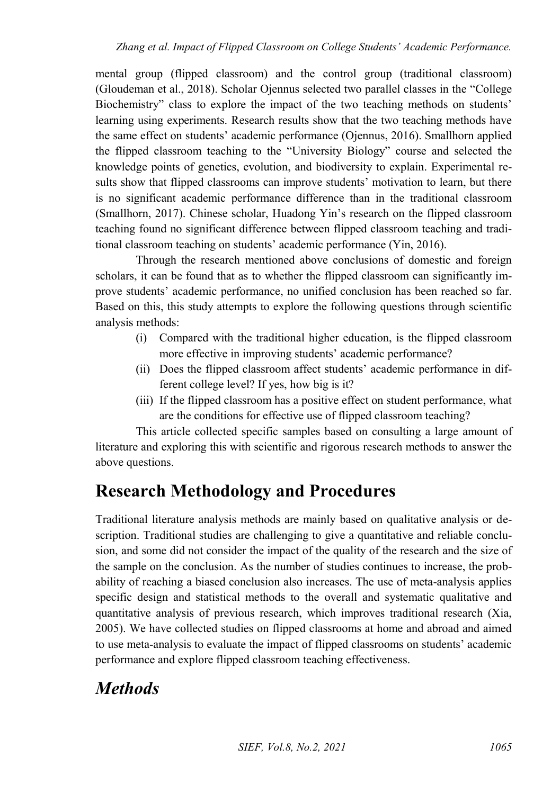mental group (flipped classroom) and the control group (traditional classroom) (Gloudeman et al., 2018). Scholar Ojennus selected two parallel classes in the "College Biochemistry" class to explore the impact of the two teaching methods on students' learning using experiments. Research results show that the two teaching methods have the same effect on students' academic performance (Ojennus, 2016). Smallhorn applied the flipped classroom teaching to the "University Biology" course and selected the knowledge points of genetics, evolution, and biodiversity to explain. Experimental results show that flipped classrooms can improve students' motivation to learn, but there is no significant academic performance difference than in the traditional classroom (Smallhorn, 2017). Chinese scholar, Huadong Yin's research on the flipped classroom teaching found no significant difference between flipped classroom teaching and traditional classroom teaching on students' academic performance (Yin, 2016).

Through the research mentioned above conclusions of domestic and foreign scholars, it can be found that as to whether the flipped classroom can significantly improve students' academic performance, no unified conclusion has been reached so far. Based on this, this study attempts to explore the following questions through scientific analysis methods:

- (i) Compared with the traditional higher education, is the flipped classroom more effective in improving students' academic performance?
- (ii) Does the flipped classroom affect students' academic performance in different college level? If yes, how big is it?
- (iii) If the flipped classroom has a positive effect on student performance, what are the conditions for effective use of flipped classroom teaching?

This article collected specific samples based on consulting a large amount of literature and exploring this with scientific and rigorous research methods to answer the above questions.

## **Research Methodology and Procedures**

Traditional literature analysis methods are mainly based on qualitative analysis or description. Traditional studies are challenging to give a quantitative and reliable conclusion, and some did not consider the impact of the quality of the research and the size of the sample on the conclusion. As the number of studies continues to increase, the probability of reaching a biased conclusion also increases. The use of meta-analysis applies specific design and statistical methods to the overall and systematic qualitative and quantitative analysis of previous research, which improves traditional research (Xia, 2005). We have collected studies on flipped classrooms at home and abroad and aimed to use meta-analysis to evaluate the impact of flipped classrooms on students' academic performance and explore flipped classroom teaching effectiveness.

## *Methods*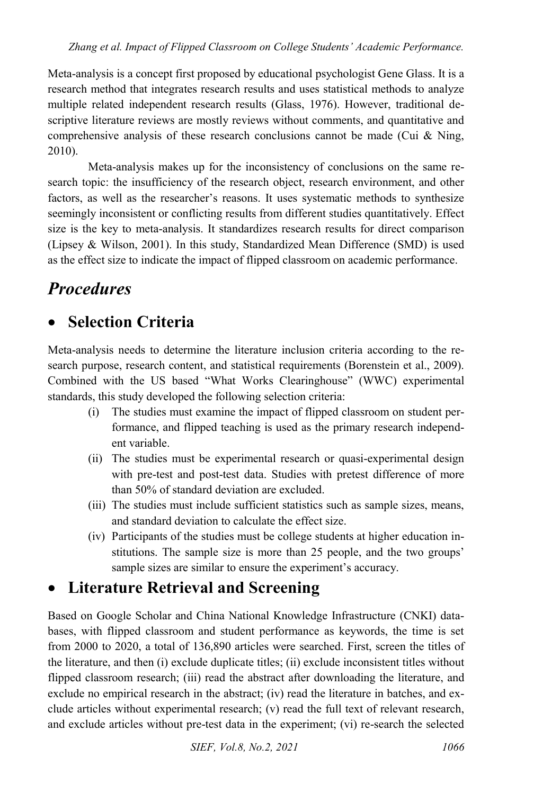Meta-analysis is a concept first proposed by educational psychologist Gene Glass. It is a research method that integrates research results and uses statistical methods to analyze multiple related independent research results (Glass, 1976). However, traditional descriptive literature reviews are mostly reviews without comments, and quantitative and comprehensive analysis of these research conclusions cannot be made (Cui & Ning, 2010).

Meta-analysis makes up for the inconsistency of conclusions on the same research topic: the insufficiency of the research object, research environment, and other factors, as well as the researcher's reasons. It uses systematic methods to synthesize seemingly inconsistent or conflicting results from different studies quantitatively. Effect size is the key to meta-analysis. It standardizes research results for direct comparison (Lipsey & Wilson, 2001). In this study, Standardized Mean Difference (SMD) is used as the effect size to indicate the impact of flipped classroom on academic performance.

## *Procedures*

### **Selection Criteria**

Meta-analysis needs to determine the literature inclusion criteria according to the research purpose, research content, and statistical requirements (Borenstein et al., 2009). Combined with the US based "What Works Clearinghouse" (WWC) experimental standards, this study developed the following selection criteria:

- (i) The studies must examine the impact of flipped classroom on student performance, and flipped teaching is used as the primary research independent variable.
- (ii) The studies must be experimental research or quasi-experimental design with pre-test and post-test data. Studies with pretest difference of more than 50% of standard deviation are excluded.
- (iii) The studies must include sufficient statistics such as sample sizes, means, and standard deviation to calculate the effect size.
- (iv) Participants of the studies must be college students at higher education institutions. The sample size is more than 25 people, and the two groups' sample sizes are similar to ensure the experiment's accuracy.

### **Literature Retrieval and Screening**

Based on Google Scholar and China National Knowledge Infrastructure (CNKI) databases, with flipped classroom and student performance as keywords, the time is set from 2000 to 2020, a total of 136,890 articles were searched. First, screen the titles of the literature, and then (i) exclude duplicate titles; (ii) exclude inconsistent titles without flipped classroom research; (iii) read the abstract after downloading the literature, and exclude no empirical research in the abstract; (iv) read the literature in batches, and exclude articles without experimental research; (v) read the full text of relevant research, and exclude articles without pre-test data in the experiment; (vi) re-search the selected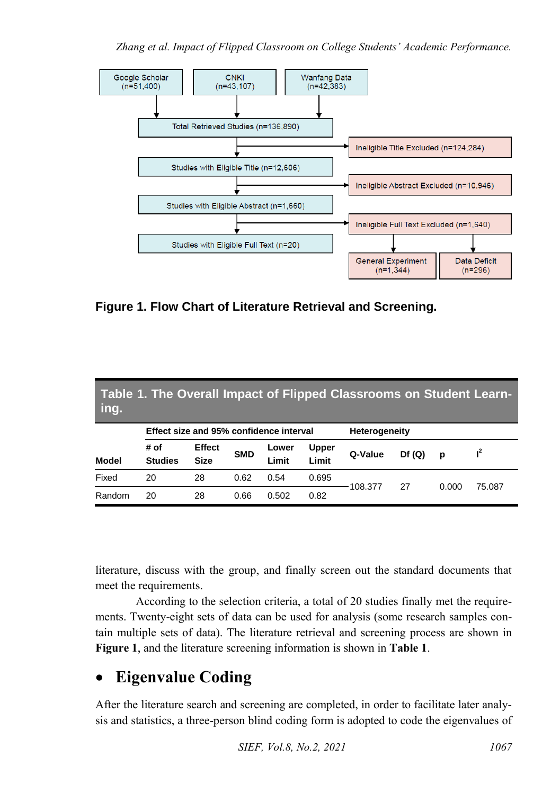

**Figure 1. Flow Chart of Literature Retrieval and Screening.**

| Table 1. The Overall Impact of Flipped Classrooms on Student Learn-<br>ing. |                                         |                              |            |                |                       |                      |       |       |        |
|-----------------------------------------------------------------------------|-----------------------------------------|------------------------------|------------|----------------|-----------------------|----------------------|-------|-------|--------|
|                                                                             | Effect size and 95% confidence interval |                              |            |                |                       | <b>Heterogeneity</b> |       |       |        |
| <b>Model</b>                                                                | # of<br><b>Studies</b>                  | <b>Effect</b><br><b>Size</b> | <b>SMD</b> | Lower<br>Limit | <b>Upper</b><br>Limit | Q-Value              | Df(Q) | p     | $I^2$  |
| Fixed                                                                       | 20                                      | 28                           | 0.62       | 0.54           | 0.695                 | 108.377              | 27    | 0.000 | 75.087 |
| Random                                                                      | 20                                      | 28                           | 0.66       | 0.502          | 0.82                  |                      |       |       |        |

literature, discuss with the group, and finally screen out the standard documents that meet the requirements.

According to the selection criteria, a total of 20 studies finally met the requirements. Twenty-eight sets of data can be used for analysis (some research samples contain multiple sets of data). The literature retrieval and screening process are shown in **Figure 1**, and the literature screening information is shown in **Table 1**.

## **Eigenvalue Coding**

After the literature search and screening are completed, in order to facilitate later analysis and statistics, a three-person blind coding form is adopted to code the eigenvalues of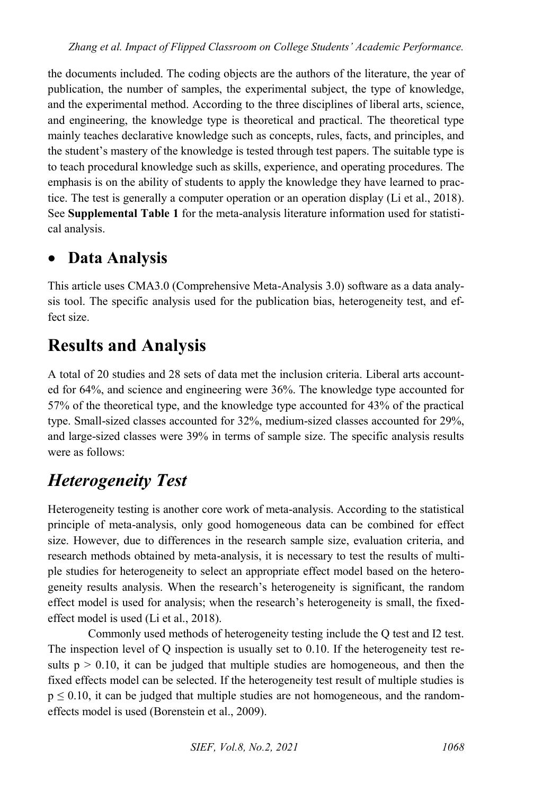the documents included. The coding objects are the authors of the literature, the year of publication, the number of samples, the experimental subject, the type of knowledge, and the experimental method. According to the three disciplines of liberal arts, science, and engineering, the knowledge type is theoretical and practical. The theoretical type mainly teaches declarative knowledge such as concepts, rules, facts, and principles, and the student's mastery of the knowledge is tested through test papers. The suitable type is to teach procedural knowledge such as skills, experience, and operating procedures. The emphasis is on the ability of students to apply the knowledge they have learned to practice. The test is generally a computer operation or an operation display (Li et al., 2018). See **Supplemental Table 1** for the meta-analysis literature information used for statistical analysis.

### **Data Analysis**

This article uses CMA3.0 (Comprehensive Meta-Analysis 3.0) software as a data analysis tool. The specific analysis used for the publication bias, heterogeneity test, and effect size.

## **Results and Analysis**

A total of 20 studies and 28 sets of data met the inclusion criteria. Liberal arts accounted for 64%, and science and engineering were 36%. The knowledge type accounted for 57% of the theoretical type, and the knowledge type accounted for 43% of the practical type. Small-sized classes accounted for 32%, medium-sized classes accounted for 29%, and large-sized classes were 39% in terms of sample size. The specific analysis results were as follows:

## *Heterogeneity Test*

Heterogeneity testing is another core work of meta-analysis. According to the statistical principle of meta-analysis, only good homogeneous data can be combined for effect size. However, due to differences in the research sample size, evaluation criteria, and research methods obtained by meta-analysis, it is necessary to test the results of multiple studies for heterogeneity to select an appropriate effect model based on the heterogeneity results analysis. When the research's heterogeneity is significant, the random effect model is used for analysis; when the research's heterogeneity is small, the fixedeffect model is used (Li et al., 2018).

Commonly used methods of heterogeneity testing include the Q test and I2 test. The inspection level of Q inspection is usually set to 0.10. If the heterogeneity test results  $p > 0.10$ , it can be judged that multiple studies are homogeneous, and then the fixed effects model can be selected. If the heterogeneity test result of multiple studies is  $p \le 0.10$ , it can be judged that multiple studies are not homogeneous, and the randomeffects model is used (Borenstein et al., 2009).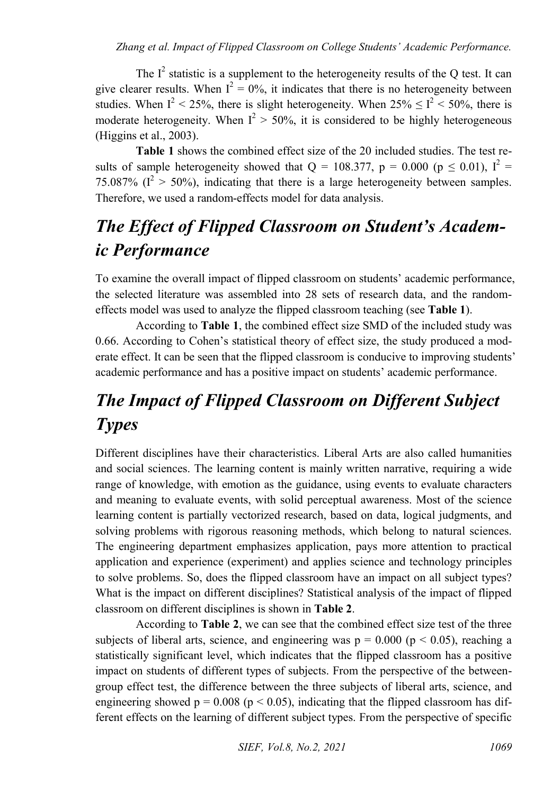The  $I^2$  statistic is a supplement to the heterogeneity results of the Q test. It can give clearer results. When  $I^2 = 0\%$ , it indicates that there is no heterogeneity between studies. When  $I^2$  < 25%, there is slight heterogeneity. When  $25\% \le I^2$  < 50%, there is moderate heterogeneity. When  $I^2 > 50\%$ , it is considered to be highly heterogeneous (Higgins et al., 2003).

**Table 1** shows the combined effect size of the 20 included studies. The test results of sample heterogeneity showed that  $Q = 108.377$ ,  $p = 0.000$  ( $p \le 0.01$ ),  $I^2 =$ 75.087% ( $I^2 > 50$ %), indicating that there is a large heterogeneity between samples. Therefore, we used a random-effects model for data analysis.

# *The Effect of Flipped Classroom on Student's Academic Performance*

To examine the overall impact of flipped classroom on students' academic performance, the selected literature was assembled into 28 sets of research data, and the randomeffects model was used to analyze the flipped classroom teaching (see **Table 1**).

According to **Table 1**, the combined effect size SMD of the included study was 0.66. According to Cohen's statistical theory of effect size, the study produced a moderate effect. It can be seen that the flipped classroom is conducive to improving students' academic performance and has a positive impact on students' academic performance.

# *The Impact of Flipped Classroom on Different Subject Types*

Different disciplines have their characteristics. Liberal Arts are also called humanities and social sciences. The learning content is mainly written narrative, requiring a wide range of knowledge, with emotion as the guidance, using events to evaluate characters and meaning to evaluate events, with solid perceptual awareness. Most of the science learning content is partially vectorized research, based on data, logical judgments, and solving problems with rigorous reasoning methods, which belong to natural sciences. The engineering department emphasizes application, pays more attention to practical application and experience (experiment) and applies science and technology principles to solve problems. So, does the flipped classroom have an impact on all subject types? What is the impact on different disciplines? Statistical analysis of the impact of flipped classroom on different disciplines is shown in **Table 2**.

According to **Table 2**, we can see that the combined effect size test of the three subjects of liberal arts, science, and engineering was  $p = 0.000$  ( $p < 0.05$ ), reaching a statistically significant level, which indicates that the flipped classroom has a positive impact on students of different types of subjects. From the perspective of the betweengroup effect test, the difference between the three subjects of liberal arts, science, and engineering showed  $p = 0.008$  ( $p < 0.05$ ), indicating that the flipped classroom has different effects on the learning of different subject types. From the perspective of specific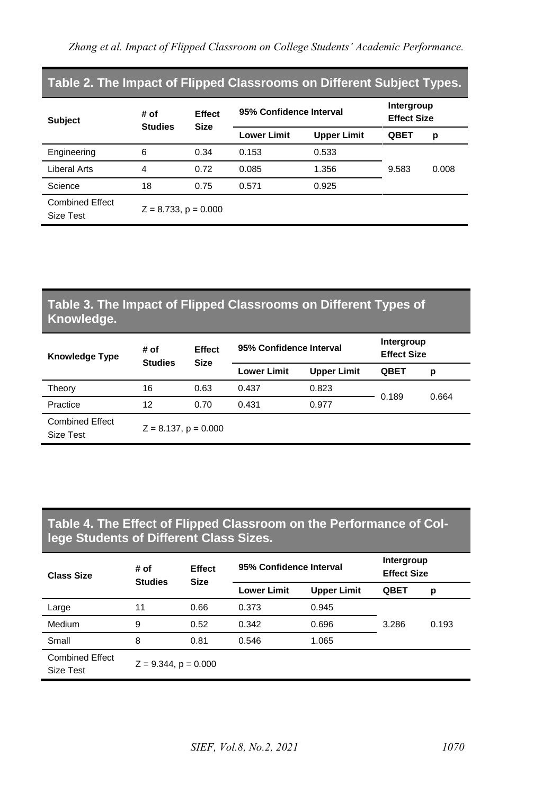| Table 2. The Impact of Flipped Classrooms on Different Subject Types. |                           |                              |                         |                                  |             |       |  |  |  |
|-----------------------------------------------------------------------|---------------------------|------------------------------|-------------------------|----------------------------------|-------------|-------|--|--|--|
| <b>Subject</b>                                                        | # of<br><b>Studies</b>    | <b>Effect</b><br><b>Size</b> | 95% Confidence Interval | Intergroup<br><b>Effect Size</b> |             |       |  |  |  |
|                                                                       |                           |                              | <b>Lower Limit</b>      | <b>Upper Limit</b>               | <b>QBET</b> | р     |  |  |  |
| Engineering                                                           | 6                         | 0.34                         | 0.153                   | 0.533                            |             |       |  |  |  |
| Liberal Arts                                                          | 4                         | 0.72                         | 0.085                   | 1.356                            | 9.583       | 0.008 |  |  |  |
| Science                                                               | 18                        | 0.75                         | 0.571                   | 0.925                            |             |       |  |  |  |
| <b>Combined Effect</b><br>Size Test                                   | $Z = 8.733$ , $p = 0.000$ |                              |                         |                                  |             |       |  |  |  |

#### **Table 3. The Impact of Flipped Classrooms on Different Types of Knowledge.**

| <b>Knowledge Type</b>               | # of<br><b>Studies</b>    | Effect<br><b>Size</b> | 95% Confidence Interval | Intergroup<br><b>Effect Size</b> |       |       |
|-------------------------------------|---------------------------|-----------------------|-------------------------|----------------------------------|-------|-------|
|                                     |                           |                       | <b>Lower Limit</b>      | <b>Upper Limit</b>               | QBET  | р     |
| Theory                              | 16                        | 0.63                  | 0.437                   | 0.823                            | 0.189 | 0.664 |
| Practice                            | 12                        | 0.70                  | 0.431                   | 0.977                            |       |       |
| <b>Combined Effect</b><br>Size Test | $Z = 8.137$ , $p = 0.000$ |                       |                         |                                  |       |       |

#### **Table 4. The Effect of Flipped Classroom on the Performance of College Students of Different Class Sizes.**

| <b>Class Size</b>                   | # of                      | <b>Effect</b><br><b>Studies</b><br><b>Size</b> | 95% Confidence Interval | Intergroup<br><b>Effect Size</b> |             |       |
|-------------------------------------|---------------------------|------------------------------------------------|-------------------------|----------------------------------|-------------|-------|
|                                     |                           |                                                | <b>Lower Limit</b>      | <b>Upper Limit</b>               | <b>QBET</b> | p     |
| Large                               | 11                        | 0.66                                           | 0.373                   | 0.945                            |             |       |
| Medium                              | 9                         | 0.52                                           | 0.342                   | 0.696                            | 3.286       | 0.193 |
| Small                               | 8                         | 0.81                                           | 0.546                   | 1.065                            |             |       |
| <b>Combined Effect</b><br>Size Test | $Z = 9.344$ , $p = 0.000$ |                                                |                         |                                  |             |       |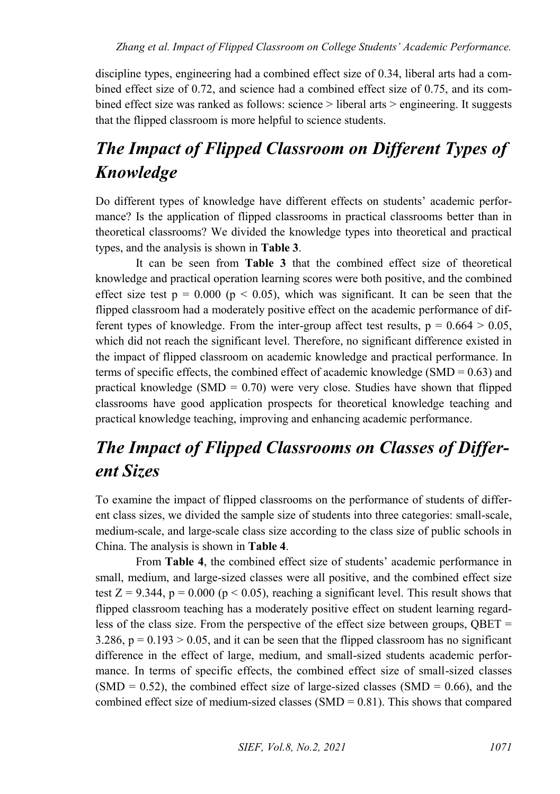discipline types, engineering had a combined effect size of 0.34, liberal arts had a combined effect size of 0.72, and science had a combined effect size of 0.75, and its combined effect size was ranked as follows: science > liberal arts > engineering. It suggests that the flipped classroom is more helpful to science students.

# *The Impact of Flipped Classroom on Different Types of Knowledge*

Do different types of knowledge have different effects on students' academic performance? Is the application of flipped classrooms in practical classrooms better than in theoretical classrooms? We divided the knowledge types into theoretical and practical types, and the analysis is shown in **Table 3**.

It can be seen from **Table 3** that the combined effect size of theoretical knowledge and practical operation learning scores were both positive, and the combined effect size test  $p = 0.000$  ( $p < 0.05$ ), which was significant. It can be seen that the flipped classroom had a moderately positive effect on the academic performance of different types of knowledge. From the inter-group affect test results,  $p = 0.664 > 0.05$ , which did not reach the significant level. Therefore, no significant difference existed in the impact of flipped classroom on academic knowledge and practical performance. In terms of specific effects, the combined effect of academic knowledge (SMD =  $0.63$ ) and practical knowledge (SMD =  $0.70$ ) were very close. Studies have shown that flipped classrooms have good application prospects for theoretical knowledge teaching and practical knowledge teaching, improving and enhancing academic performance.

## *The Impact of Flipped Classrooms on Classes of Different Sizes*

To examine the impact of flipped classrooms on the performance of students of different class sizes, we divided the sample size of students into three categories: small-scale, medium-scale, and large-scale class size according to the class size of public schools in China. The analysis is shown in **Table 4**.

From **Table 4**, the combined effect size of students' academic performance in small, medium, and large-sized classes were all positive, and the combined effect size test  $Z = 9.344$ ,  $p = 0.000$  ( $p < 0.05$ ), reaching a significant level. This result shows that flipped classroom teaching has a moderately positive effect on student learning regardless of the class size. From the perspective of the effect size between groups,  $OBET =$  $3.286$ ,  $p = 0.193 > 0.05$ , and it can be seen that the flipped classroom has no significant difference in the effect of large, medium, and small-sized students academic performance. In terms of specific effects, the combined effect size of small-sized classes  $(SMD = 0.52)$ , the combined effect size of large-sized classes  $(SMD = 0.66)$ , and the combined effect size of medium-sized classes  $(SMD = 0.81)$ . This shows that compared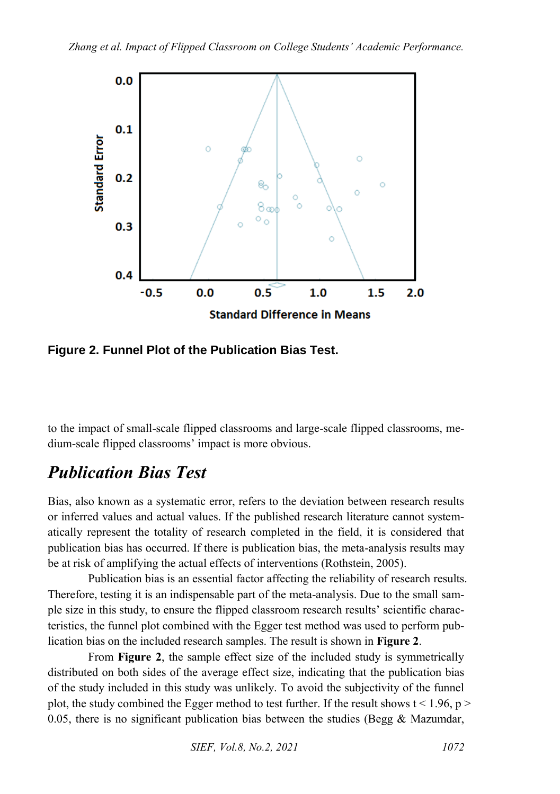

**Figure 2. Funnel Plot of the Publication Bias Test.**

to the impact of small-scale flipped classrooms and large-scale flipped classrooms, medium-scale flipped classrooms' impact is more obvious.

## *Publication Bias Test*

Bias, also known as a systematic error, refers to the deviation between research results or inferred values and actual values. If the published research literature cannot systematically represent the totality of research completed in the field, it is considered that publication bias has occurred. If there is publication bias, the meta-analysis results may be at risk of amplifying the actual effects of interventions (Rothstein, 2005).

Publication bias is an essential factor affecting the reliability of research results. Therefore, testing it is an indispensable part of the meta-analysis. Due to the small sample size in this study, to ensure the flipped classroom research results' scientific characteristics, the funnel plot combined with the Egger test method was used to perform publication bias on the included research samples. The result is shown in **Figure 2**.

From **Figure 2**, the sample effect size of the included study is symmetrically distributed on both sides of the average effect size, indicating that the publication bias of the study included in this study was unlikely. To avoid the subjectivity of the funnel plot, the study combined the Egger method to test further. If the result shows  $t < 1.96$ , p > 0.05, there is no significant publication bias between the studies (Begg  $\&$  Mazumdar,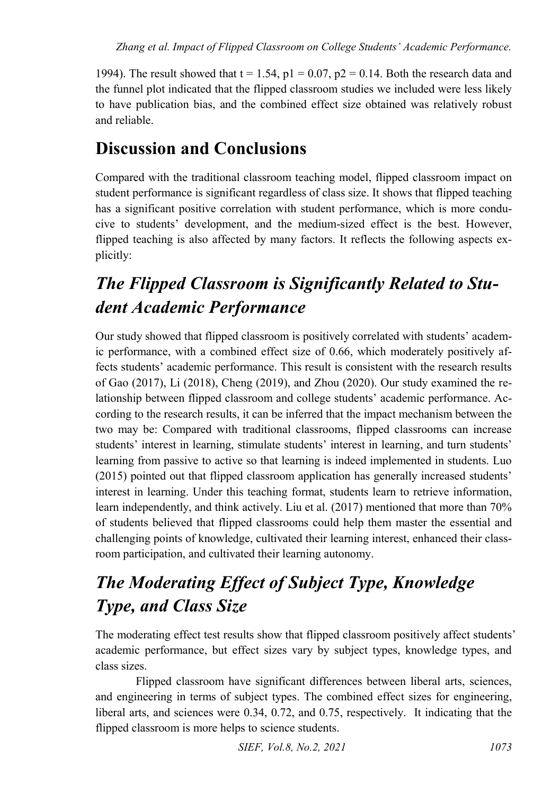1994). The result showed that  $t = 1.54$ ,  $p1 = 0.07$ ,  $p2 = 0.14$ . Both the research data and the funnel plot indicated that the flipped classroom studies we included were less likely to have publication bias, and the combined effect size obtained was relatively robust and reliable.

## **Discussion and Conclusions**

Compared with the traditional classroom teaching model, flipped classroom impact on student performance is significant regardless of class size. It shows that flipped teaching has a significant positive correlation with student performance, which is more conducive to students' development, and the medium-sized effect is the best. However, flipped teaching is also affected by many factors. It reflects the following aspects explicitly:

# *The Flipped Classroom is Significantly Related to Student Academic Performance*

Our study showed that flipped classroom is positively correlated with students' academic performance, with a combined effect size of 0.66, which moderately positively affects students' academic performance. This result is consistent with the research results of Gao (2017), Li (2018), Cheng (2019), and Zhou (2020). Our study examined the relationship between flipped classroom and college students' academic performance. According to the research results, it can be inferred that the impact mechanism between the two may be: Compared with traditional classrooms, flipped classrooms can increase students' interest in learning, stimulate students' interest in learning, and turn students' learning from passive to active so that learning is indeed implemented in students. Luo (2015) pointed out that flipped classroom application has generally increased students' interest in learning. Under this teaching format, students learn to retrieve information, learn independently, and think actively. Liu et al. (2017) mentioned that more than 70% of students believed that flipped classrooms could help them master the essential and challenging points of knowledge, cultivated their learning interest, enhanced their classroom participation, and cultivated their learning autonomy.

# *The Moderating Effect of Subject Type, Knowledge Type, and Class Size*

The moderating effect test results show that flipped classroom positively affect students' academic performance, but effect sizes vary by subject types, knowledge types, and class sizes.

Flipped classroom have significant differences between liberal arts, sciences, and engineering in terms of subject types. The combined effect sizes for engineering, liberal arts, and sciences were 0.34, 0.72, and 0.75, respectively. It indicating that the flipped classroom is more helps to science students.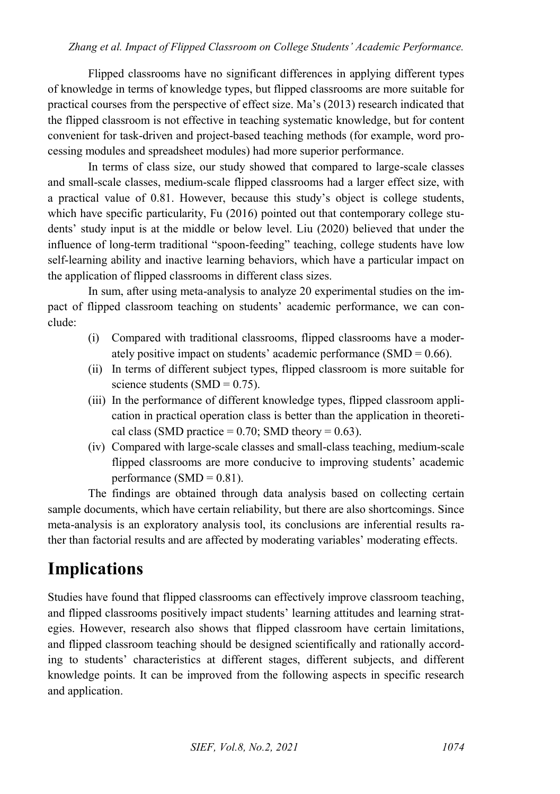#### *Zhang et al. Impact of Flipped Classroom on College Students' Academic Performance.*

Flipped classrooms have no significant differences in applying different types of knowledge in terms of knowledge types, but flipped classrooms are more suitable for practical courses from the perspective of effect size. Ma's (2013) research indicated that the flipped classroom is not effective in teaching systematic knowledge, but for content convenient for task-driven and project-based teaching methods (for example, word processing modules and spreadsheet modules) had more superior performance.

In terms of class size, our study showed that compared to large-scale classes and small-scale classes, medium-scale flipped classrooms had a larger effect size, with a practical value of 0.81. However, because this study's object is college students, which have specific particularity, Fu (2016) pointed out that contemporary college students' study input is at the middle or below level. Liu (2020) believed that under the influence of long-term traditional "spoon-feeding" teaching, college students have low self-learning ability and inactive learning behaviors, which have a particular impact on the application of flipped classrooms in different class sizes.

In sum, after using meta-analysis to analyze 20 experimental studies on the impact of flipped classroom teaching on students' academic performance, we can conclude:

- (i) Compared with traditional classrooms, flipped classrooms have a moderately positive impact on students' academic performance  $(SMD = 0.66)$ .
- (ii) In terms of different subject types, flipped classroom is more suitable for science students (SMD =  $0.75$ ).
- (iii) In the performance of different knowledge types, flipped classroom application in practical operation class is better than the application in theoretical class (SMD practice =  $0.70$ ; SMD theory =  $0.63$ ).
- (iv) Compared with large-scale classes and small-class teaching, medium-scale flipped classrooms are more conducive to improving students' academic performance (SMD =  $0.81$ ).

The findings are obtained through data analysis based on collecting certain sample documents, which have certain reliability, but there are also shortcomings. Since meta-analysis is an exploratory analysis tool, its conclusions are inferential results rather than factorial results and are affected by moderating variables' moderating effects.

### **Implications**

Studies have found that flipped classrooms can effectively improve classroom teaching, and flipped classrooms positively impact students' learning attitudes and learning strategies. However, research also shows that flipped classroom have certain limitations, and flipped classroom teaching should be designed scientifically and rationally according to students' characteristics at different stages, different subjects, and different knowledge points. It can be improved from the following aspects in specific research and application.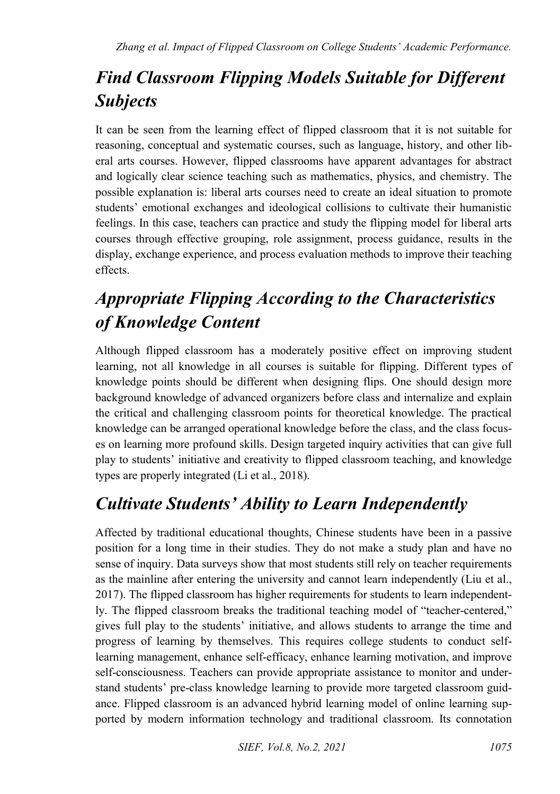# *Find Classroom Flipping Models Suitable for Different Subjects*

It can be seen from the learning effect of flipped classroom that it is not suitable for reasoning, conceptual and systematic courses, such as language, history, and other liberal arts courses. However, flipped classrooms have apparent advantages for abstract and logically clear science teaching such as mathematics, physics, and chemistry. The possible explanation is: liberal arts courses need to create an ideal situation to promote students' emotional exchanges and ideological collisions to cultivate their humanistic feelings. In this case, teachers can practice and study the flipping model for liberal arts courses through effective grouping, role assignment, process guidance, results in the display, exchange experience, and process evaluation methods to improve their teaching effects.

# *Appropriate Flipping According to the Characteristics of Knowledge Content*

Although flipped classroom has a moderately positive effect on improving student learning, not all knowledge in all courses is suitable for flipping. Different types of knowledge points should be different when designing flips. One should design more background knowledge of advanced organizers before class and internalize and explain the critical and challenging classroom points for theoretical knowledge. The practical knowledge can be arranged operational knowledge before the class, and the class focuses on learning more profound skills. Design targeted inquiry activities that can give full play to students' initiative and creativity to flipped classroom teaching, and knowledge types are properly integrated (Li et al., 2018).

## *Cultivate Students' Ability to Learn Independently*

Affected by traditional educational thoughts, Chinese students have been in a passive position for a long time in their studies. They do not make a study plan and have no sense of inquiry. Data surveys show that most students still rely on teacher requirements as the mainline after entering the university and cannot learn independently (Liu et al., 2017). The flipped classroom has higher requirements for students to learn independently. The flipped classroom breaks the traditional teaching model of "teacher-centered," gives full play to the students' initiative, and allows students to arrange the time and progress of learning by themselves. This requires college students to conduct selflearning management, enhance self-efficacy, enhance learning motivation, and improve self-consciousness. Teachers can provide appropriate assistance to monitor and understand students' pre-class knowledge learning to provide more targeted classroom guidance. Flipped classroom is an advanced hybrid learning model of online learning supported by modern information technology and traditional classroom. Its connotation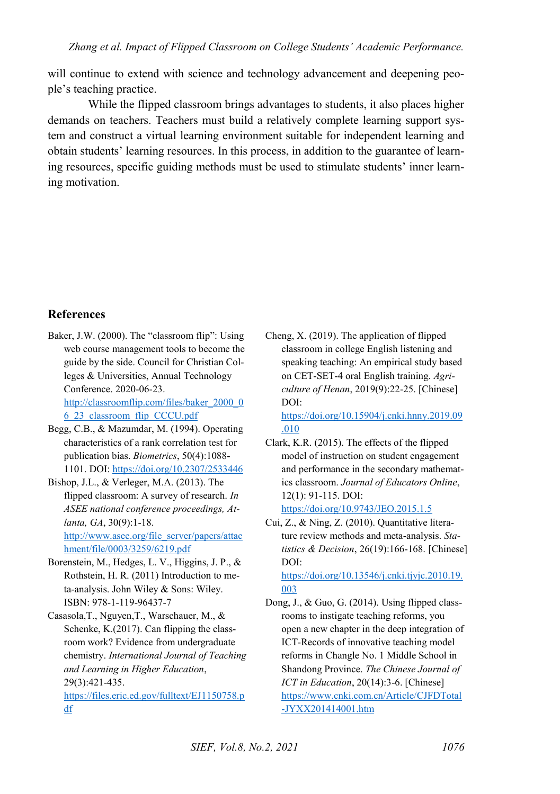will continue to extend with science and technology advancement and deepening people's teaching practice.

While the flipped classroom brings advantages to students, it also places higher demands on teachers. Teachers must build a relatively complete learning support system and construct a virtual learning environment suitable for independent learning and obtain students' learning resources. In this process, in addition to the guarantee of learning resources, specific guiding methods must be used to stimulate students' inner learning motivation.

#### **References**

- Baker, J.W. (2000). The "classroom flip": Using web course management tools to become the guide by the side. Council for Christian Colleges & Universities, Annual Technology Conference. 2020-06-23. [http://classroomflip.com/files/baker\\_2000\\_0](http://classroomflip.com/files/baker_2000_06_23_classroom_flip_CCCU.pdf) [6\\_23\\_classroom\\_flip\\_CCCU.pdf](http://classroomflip.com/files/baker_2000_06_23_classroom_flip_CCCU.pdf)
- Begg, C.B., & Mazumdar, M. (1994). Operating characteristics of a rank correlation test for publication bias. *Biometrics*, 50(4):1088- 1101. DOI[: https://doi.org/10.2307/2533446](https://doi.org/10.2307/2533446)
- Bishop, J.L., & Verleger, M.A. (2013). The flipped classroom: A survey of research. *In ASEE national conference proceedings, Atlanta, GA*, 30(9):1-18. [http://www.asee.org/file\\_server/papers/attac](http://www.asee.org/file_server/papers/attachment/file/0003/3259/6219.pdf) [hment/file/0003/3259/6219.pdf](http://www.asee.org/file_server/papers/attachment/file/0003/3259/6219.pdf)
- Borenstein, M., Hedges, L. V., Higgins, J. P., & Rothstein, H. R. (2011) Introduction to meta-analysis. John Wiley & Sons: Wiley. ISBN: 978-1-119-96437-7
- Casasola,T., Nguyen,T., Warschauer, M., & Schenke, K.(2017). Can flipping the classroom work? Evidence from undergraduate chemistry. *International Journal of Teaching and Learning in Higher Education*, 29(3):421-435. [https://files.eric.ed.gov/fulltext/EJ1150758.p](https://files.eric.ed.gov/fulltext/EJ1150758.pdf)

[df](https://files.eric.ed.gov/fulltext/EJ1150758.pdf) 

Cheng, X. (2019). The application of flipped classroom in college English listening and speaking teaching: An empirical study based on CET-SET-4 oral English training. *Agriculture of Henan*, 2019(9):22-25. [Chinese] DOI:

[https://doi.org/10.15904/j.cnki.hnny.2019.09](https://doi.org/10.15904/j.cnki.hnny.2019.09.010) [.010](https://doi.org/10.15904/j.cnki.hnny.2019.09.010) 

Clark, K.R. (2015). The effects of the flipped model of instruction on student engagement and performance in the secondary mathematics classroom. *Journal of Educators Online*, 12(1): 91-115. DOI:

<https://doi.org/10.9743/JEO.2015.1.5>

Cui, Z., & Ning, Z. (2010). Quantitative literature review methods and meta-analysis. *Statistics & Decision*, 26(19):166-168. [Chinese] DOI:

[https://doi.org/10.13546/j.cnki.tjyjc.2010.19.](https://doi.org/10.13546/j.cnki.tjyjc.2010.19.003) [003](https://doi.org/10.13546/j.cnki.tjyjc.2010.19.003) 

Dong, J., & Guo, G. (2014). Using flipped classrooms to instigate teaching reforms, you open a new chapter in the deep integration of ICT-Records of innovative teaching model reforms in Changle No. 1 Middle School in Shandong Province. *The Chinese Journal of ICT in Education*, 20(14):3-6. [Chinese] [https://www.cnki.com.cn/Article/CJFDTotal](https://www.cnki.com.cn/Article/CJFDTotal-JYXX201414001.htm) [-JYXX201414001.htm](https://www.cnki.com.cn/Article/CJFDTotal-JYXX201414001.htm)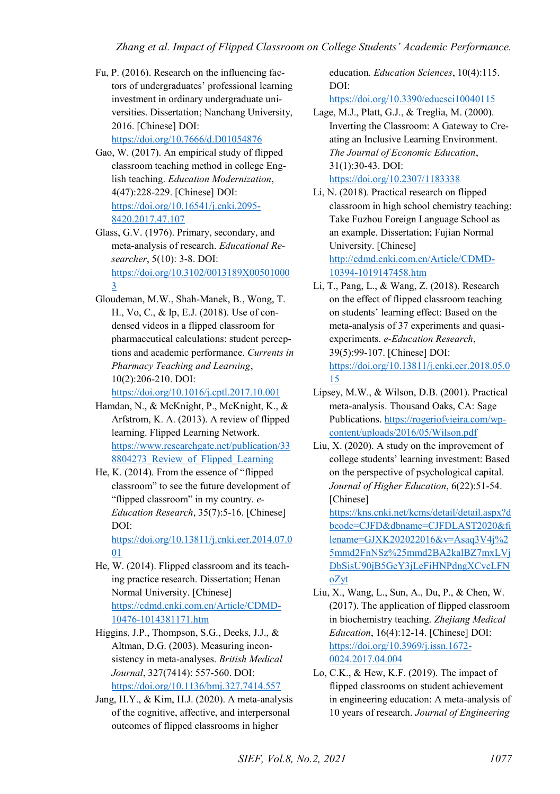Fu, P. (2016). Research on the influencing factors of undergraduates' professional learning investment in ordinary undergraduate universities. Dissertation; Nanchang University, 2016. [Chinese] DOI:

<https://doi.org/10.7666/d.D01054876>

- Gao, W. (2017). An empirical study of flipped classroom teaching method in college English teaching. *Education Modernization*, 4(47):228-229. [Chinese] DOI: [https://doi.org/10.16541/j.cnki.2095-](https://doi.org/10.16541/j.cnki.2095-8420.2017.47.107) [8420.2017.47.107](https://doi.org/10.16541/j.cnki.2095-8420.2017.47.107)
- Glass, G.V. (1976). Primary, secondary, and meta-analysis of research. *Educational Researcher*, 5(10): 3-8. DOI: [https://doi.org/10.3102/0013189X00501000](https://doi.org/10.3102/0013189X005010003) [3](https://doi.org/10.3102/0013189X005010003)
- Gloudeman, M.W., Shah-Manek, B., Wong, T. H., Vo, C., & Ip, E.J. (2018). Use of condensed videos in a flipped classroom for pharmaceutical calculations: student perceptions and academic performance. *Currents in Pharmacy Teaching and Learning*, 10(2):206-210. DOI:

<https://doi.org/10.1016/j.cptl.2017.10.001>

- Hamdan, N., & McKnight, P., McKnight, K., & Arfstrom, K. A. (2013). A review of flipped learning. Flipped Learning Network. [https://www.researchgate.net/publication/33](https://www.researchgate.net/publication/338804273_Review_of_Flipped_Learning) 8804273 Review of Flipped Learning
- He, K. (2014). From the essence of "flipped classroom" to see the future development of "flipped classroom" in my country. *e-Education Research*, 35(7):5-16. [Chinese] DOI: [https://doi.org/10.13811/j.cnki.eer.2014.07.0](https://doi.org/10.13811/j.cnki.eer.2014.07.001)

[01](https://doi.org/10.13811/j.cnki.eer.2014.07.001) 

- He, W. (2014). Flipped classroom and its teaching practice research. Dissertation; Henan Normal University. [Chinese] [https://cdmd.cnki.com.cn/Article/CDMD-](https://cdmd.cnki.com.cn/Article/CDMD-10476-1014381171.htm)[10476-1014381171.htm](https://cdmd.cnki.com.cn/Article/CDMD-10476-1014381171.htm)
- Higgins, J.P., Thompson, S.G., Deeks, J.J., & Altman, D.G. (2003). Measuring inconsistency in meta-analyses. *British Medical Journal*, 327(7414): 557-560. DOI: <https://doi.org/10.1136/bmj.327.7414.557>
- Jang, H.Y., & Kim, H.J. (2020). A meta-analysis of the cognitive, affective, and interpersonal outcomes of flipped classrooms in higher

education. *Education Sciences*, 10(4):115. DOI:

<https://doi.org/10.3390/educsci10040115>

Lage, M.J., Platt, G.J., & Treglia, M. (2000). Inverting the Classroom: A Gateway to Creating an Inclusive Learning Environment. *The Journal of Economic Education*, 31(1):30-43. DOI: <https://doi.org/10.2307/1183338>

Li, N. (2018). Practical research on flipped classroom in high school chemistry teaching: Take Fuzhou Foreign Language School as an example. Dissertation; Fujian Normal University. [Chinese] [http://cdmd.cnki.com.cn/Article/CDMD-](http://cdmd.cnki.com.cn/Article/CDMD-10394-1019147458.htm)

[10394-1019147458.htm](http://cdmd.cnki.com.cn/Article/CDMD-10394-1019147458.htm) 

- Li, T., Pang, L., & Wang, Z. (2018). Research on the effect of flipped classroom teaching on students' learning effect: Based on the meta-analysis of 37 experiments and quasiexperiments. *e-Education Research*, 39(5):99-107. [Chinese] DOI: [https://doi.org/10.13811/j.cnki.eer.2018.05.0](https://doi.org/10.13811/j.cnki.eer.2018.05.015) [15](https://doi.org/10.13811/j.cnki.eer.2018.05.015)
- Lipsey, M.W., & Wilson, D.B. (2001). Practical meta-analysis. Thousand Oaks, CA: Sage Publications[. https://rogeriofvieira.com/wp](https://rogeriofvieira.com/wp-content/uploads/2016/05/Wilson.pdf)[content/uploads/2016/05/Wilson.pdf](https://rogeriofvieira.com/wp-content/uploads/2016/05/Wilson.pdf)
- Liu, X. (2020). A study on the improvement of college students' learning investment: Based on the perspective of psychological capital. *Journal of Higher Education*, 6(22):51-54. [Chinese]

[https://kns.cnki.net/kcms/detail/detail.aspx?d](https://kns.cnki.net/kcms/detail/detail.aspx?dbcode=CJFD&dbname=CJFDLAST2020&filename=GJXK202022016&v=Asaq3V4j%25mmd2FnNSz%25mmd2BA2kalBZ7mxLVjDbSisU90jB5GeY3jLeFiHNPdngXCvcLFNoZyt) [bcode=CJFD&dbname=CJFDLAST2020&fi](https://kns.cnki.net/kcms/detail/detail.aspx?dbcode=CJFD&dbname=CJFDLAST2020&filename=GJXK202022016&v=Asaq3V4j%25mmd2FnNSz%25mmd2BA2kalBZ7mxLVjDbSisU90jB5GeY3jLeFiHNPdngXCvcLFNoZyt) [lename=GJXK202022016&v=Asaq3V4j%2](https://kns.cnki.net/kcms/detail/detail.aspx?dbcode=CJFD&dbname=CJFDLAST2020&filename=GJXK202022016&v=Asaq3V4j%25mmd2FnNSz%25mmd2BA2kalBZ7mxLVjDbSisU90jB5GeY3jLeFiHNPdngXCvcLFNoZyt) [5mmd2FnNSz%25mmd2BA2kalBZ7mxLVj](https://kns.cnki.net/kcms/detail/detail.aspx?dbcode=CJFD&dbname=CJFDLAST2020&filename=GJXK202022016&v=Asaq3V4j%25mmd2FnNSz%25mmd2BA2kalBZ7mxLVjDbSisU90jB5GeY3jLeFiHNPdngXCvcLFNoZyt) [DbSisU90jB5GeY3jLeFiHNPdngXCvcLFN](https://kns.cnki.net/kcms/detail/detail.aspx?dbcode=CJFD&dbname=CJFDLAST2020&filename=GJXK202022016&v=Asaq3V4j%25mmd2FnNSz%25mmd2BA2kalBZ7mxLVjDbSisU90jB5GeY3jLeFiHNPdngXCvcLFNoZyt) [oZyt](https://kns.cnki.net/kcms/detail/detail.aspx?dbcode=CJFD&dbname=CJFDLAST2020&filename=GJXK202022016&v=Asaq3V4j%25mmd2FnNSz%25mmd2BA2kalBZ7mxLVjDbSisU90jB5GeY3jLeFiHNPdngXCvcLFNoZyt) 

- Liu, X., Wang, L., Sun, A., Du, P., & Chen, W. (2017). The application of flipped classroom in biochemistry teaching. *Zhejiang Medical Education*, 16(4):12-14. [Chinese] DOI: [https://doi.org/10.3969/j.issn.1672-](https://doi.org/10.3969/j.issn.1672-0024.2017.04.004) [0024.2017.04.004](https://doi.org/10.3969/j.issn.1672-0024.2017.04.004)
- Lo, C.K., & Hew, K.F. (2019). The impact of flipped classrooms on student achievement in engineering education: A meta-analysis of 10 years of research. *Journal of Engineering*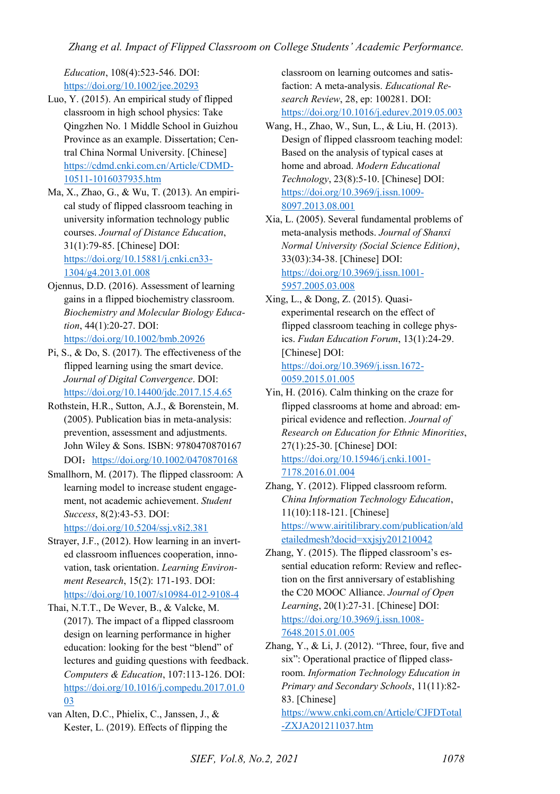*Education*, 108(4):523-546. DOI: <https://doi.org/10.1002/jee.20293>

- Luo, Y. (2015). An empirical study of flipped classroom in high school physics: Take Qingzhen No. 1 Middle School in Guizhou Province as an example. Dissertation; Central China Normal University. [Chinese] [https://cdmd.cnki.com.cn/Article/CDMD-](https://cdmd.cnki.com.cn/Article/CDMD-10511-1016037935.htm)[10511-1016037935.htm](https://cdmd.cnki.com.cn/Article/CDMD-10511-1016037935.htm)
- Ma, X., Zhao, G., & Wu, T. (2013). An empirical study of flipped classroom teaching in university information technology public courses. *Journal of Distance Education*, 31(1):79-85. [Chinese] DOI: [https://doi.org/10.15881/j.cnki.cn33-](https://doi.org/10.15881/j.cnki.cn33-1304/g4.2013.01.008) [1304/g4.2013.01.008](https://doi.org/10.15881/j.cnki.cn33-1304/g4.2013.01.008)
- Ojennus, D.D. (2016). Assessment of learning gains in a flipped biochemistry classroom. *Biochemistry and Molecular Biology Education*, 44(1):20-27. DOI: <https://doi.org/10.1002/bmb.20926>
- Pi, S., & Do, S. (2017). The effectiveness of the flipped learning using the smart device. *Journal of Digital Convergence*. DOI: <https://doi.org/10.14400/jdc.2017.15.4.65>
- Rothstein, H.R., Sutton, A.J., & Borenstein, M. (2005). Publication bias in meta-analysis: prevention, assessment and adjustments. John Wiley & Sons. ISBN: 9780470870167 DOI: https://doi.org/10.1002/0470870168
- Smallhorn, M. (2017). The flipped classroom: A learning model to increase student engagement, not academic achievement. *Student Success*, 8(2):43-53. DOI: <https://doi.org/10.5204/ssj.v8i2.381>
- Strayer, J.F., (2012). How learning in an inverted classroom influences cooperation, innovation, task orientation. *Learning Environment Research*, 15(2): 171-193. DOI: <https://doi.org/10.1007/s10984-012-9108-4>
- Thai, N.T.T., De Wever, B., & Valcke, M. (2017). The impact of a flipped classroom design on learning performance in higher education: looking for the best "blend" of lectures and guiding questions with feedback. *Computers & Education*, 107:113-126. DOI: [https://doi.org/10.1016/j.compedu.2017.01.0](https://doi.org/10.1016/j.compedu.2017.01.003) [03](https://doi.org/10.1016/j.compedu.2017.01.003)
- van Alten, D.C., Phielix, C., Janssen, J., & Kester, L. (2019). Effects of flipping the

classroom on learning outcomes and satisfaction: A meta-analysis. *Educational Research Review*, 28, ep: 100281. DOI: <https://doi.org/10.1016/j.edurev.2019.05.003>

- Wang, H., Zhao, W., Sun, L., & Liu, H. (2013). Design of flipped classroom teaching model: Based on the analysis of typical cases at home and abroad. *Modern Educational Technology*, 23(8):5-10. [Chinese] DOI: [https://doi.org/10.3969/j.issn.1009-](https://doi.org/10.3969/j.issn.1009-8097.2013.08.001) [8097.2013.08.001](https://doi.org/10.3969/j.issn.1009-8097.2013.08.001)
- Xia, L. (2005). Several fundamental problems of meta-analysis methods. *Journal of Shanxi Normal University (Social Science Edition)*, 33(03):34-38. [Chinese] DOI: [https://doi.org/10.3969/j.issn.1001-](https://doi.org/10.3969/j.issn.1001-5957.2005.03.008) [5957.2005.03.008](https://doi.org/10.3969/j.issn.1001-5957.2005.03.008)
- Xing, L., & Dong, Z. (2015). Quasiexperimental research on the effect of flipped classroom teaching in college physics. *Fudan Education Forum*, 13(1):24-29. [Chinese] DOI: [https://doi.org/10.3969/j.issn.1672-](https://doi.org/10.3969/j.issn.1672-0059.2015.01.005) [0059.2015.01.005](https://doi.org/10.3969/j.issn.1672-0059.2015.01.005)
- Yin, H. (2016). Calm thinking on the craze for flipped classrooms at home and abroad: empirical evidence and reflection. *Journal of Research on Education for Ethnic Minorities*, 27(1):25-30. [Chinese] DOI: [https://doi.org/10.15946/j.cnki.1001-](https://doi.org/10.15946/j.cnki.1001-7178.2016.01.004) [7178.2016.01.004](https://doi.org/10.15946/j.cnki.1001-7178.2016.01.004)
- Zhang, Y. (2012). Flipped classroom reform. *China Information Technology Education*, 11(10):118-121. [Chinese] [https://www.airitilibrary.com/publication/ald](https://www.airitilibrary.com/publication/aldetailedmesh?docid=xxjsjy201210042) [etailedmesh?docid=xxjsjy201210042](https://www.airitilibrary.com/publication/aldetailedmesh?docid=xxjsjy201210042)
- Zhang, Y. (2015). The flipped classroom's essential education reform: Review and reflection on the first anniversary of establishing the C20 MOOC Alliance. *Journal of Open Learning*, 20(1):27-31. [Chinese] DOI: [https://doi.org/10.3969/j.issn.1008-](https://doi.org/10.3969/j.issn.1008-7648.2015.01.005) [7648.2015.01.005](https://doi.org/10.3969/j.issn.1008-7648.2015.01.005)
- Zhang, Y., & Li, J.  $(2012)$ . "Three, four, five and six": Operational practice of flipped classroom. *Information Technology Education in Primary and Secondary Schools*, 11(11):82- 83. [Chinese]

[https://www.cnki.com.cn/Article/CJFDTotal](https://www.cnki.com.cn/Article/CJFDTotal-ZXJA201211037.htm) [-ZXJA201211037.htm](https://www.cnki.com.cn/Article/CJFDTotal-ZXJA201211037.htm)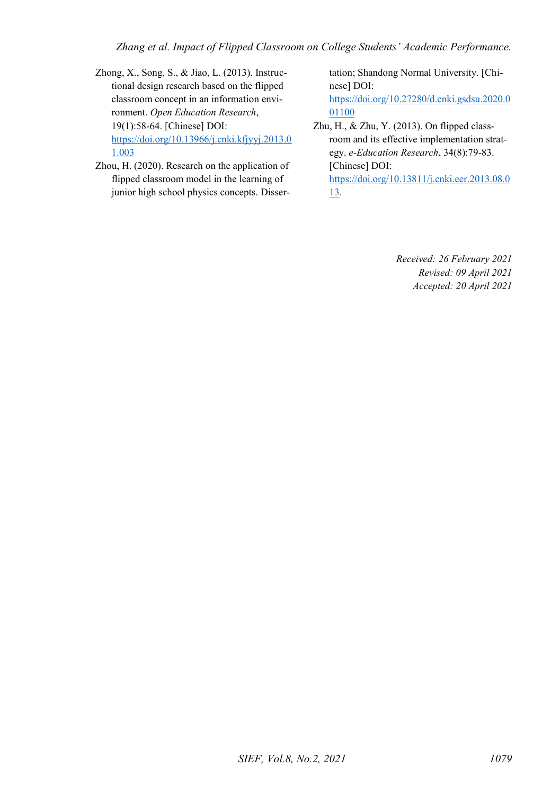*Zhang et al. Impact of Flipped Classroom on College Students' Academic Performance.* 

- Zhong, X., Song, S., & Jiao, L. (2013). Instructional design research based on the flipped classroom concept in an information environment. *Open Education Research*, 19(1):58-64. [Chinese] DOI: [https://doi.org/10.13966/j.cnki.kfjyyj.2013.0](https://doi.org/10.13966/j.cnki.kfjyyj.2013.01.003) [1.003](https://doi.org/10.13966/j.cnki.kfjyyj.2013.01.003)
- Zhou, H. (2020). Research on the application of flipped classroom model in the learning of junior high school physics concepts. Disser-

tation; Shandong Normal University. [Chinese] DOI: [https://doi.org/10.27280/d.cnki.gsdsu.2020.0](https://doi.org/10.27280/d.cnki.gsdsu.2020.001100) [01100](https://doi.org/10.27280/d.cnki.gsdsu.2020.001100) 

Zhu, H., & Zhu, Y. (2013). On flipped classroom and its effective implementation strategy. *e-Education Research*, 34(8):79-83. [Chinese] DOI: [https://doi.org/10.13811/j.cnki.eer.2013.08.0](https://doi.org/10.13811/j.cnki.eer.2013.08.013) [13.](https://doi.org/10.13811/j.cnki.eer.2013.08.013)

> *Received: 26 February 2021 Revised: 09 April 2021 Accepted: 20 April 2021*